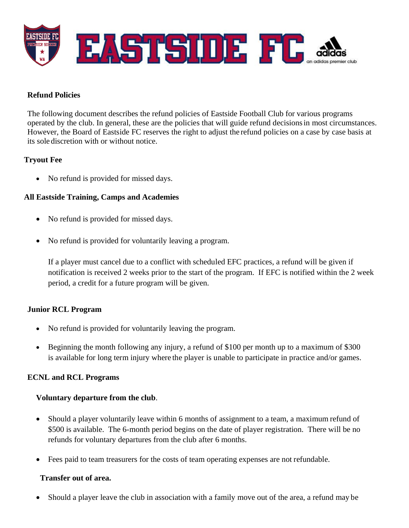

### **Refund Policies**

The following document describes the refund policies of Eastside Football Club for various programs operated by the club. In general, these are the policies that will guide refund decisionsin most circumstances. However, the Board of Eastside FC reserves the right to adjust the refund policies on a case by case basis at its sole discretion with or without notice.

## **Tryout Fee**

• No refund is provided for missed days.

## **All Eastside Training, Camps and Academies**

- No refund is provided for missed days.
- No refund is provided for voluntarily leaving a program.

If a player must cancel due to a conflict with scheduled EFC practices, a refund will be given if notification is received 2 weeks prior to the start of the program. If EFC is notified within the 2 week period, a credit for a future program will be given.

#### **Junior RCL Program**

- No refund is provided for voluntarily leaving the program.
- Beginning the month following any injury, a refund of \$100 per month up to a maximum of \$300 is available for long term injury where the player is unable to participate in practice and/or games.

#### **ECNL and RCL Programs**

#### **Voluntary departure from the club**.

- Should a player voluntarily leave within 6 months of assignment to a team, a maximum refund of \$500 is available. The 6-month period begins on the date of player registration. There will be no refunds for voluntary departures from the club after 6 months.
- Fees paid to team treasurers for the costs of team operating expenses are not refundable.

#### **Transfer out of area.**

• Should a player leave the club in association with a family move out of the area, a refund may be